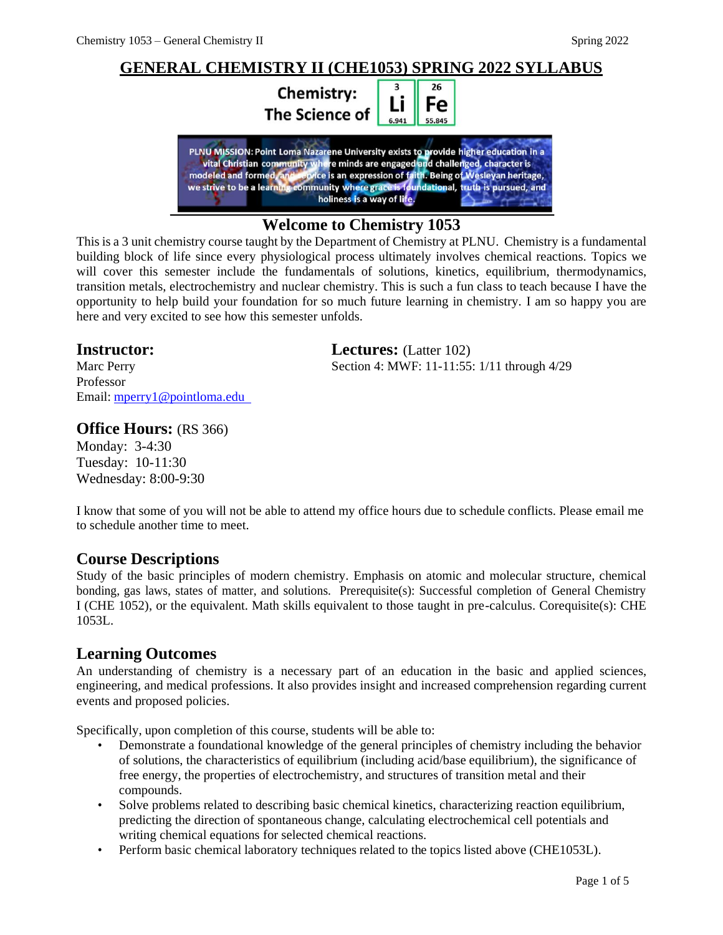

## **Welcome to Chemistry 1053**

This is a 3 unit chemistry course taught by the Department of Chemistry at PLNU. Chemistry is a fundamental building block of life since every physiological process ultimately involves chemical reactions. Topics we will cover this semester include the fundamentals of solutions, kinetics, equilibrium, thermodynamics, transition metals, electrochemistry and nuclear chemistry. This is such a fun class to teach because I have the opportunity to help build your foundation for so much future learning in chemistry. I am so happy you are here and very excited to see how this semester unfolds.

## **Instructor: Lectures:** (Latter 102)

Marc Perry Section 4: MWF: 11-11:55: 1/11 through 4/29 Professor Email: [mperry1@pointloma.edu](mailto:mperry1@pointloma.edu) 

## **Office Hours:** (RS 366)

Monday: 3-4:30 Tuesday: 10-11:30 Wednesday: 8:00-9:30

I know that some of you will not be able to attend my office hours due to schedule conflicts. Please email me to schedule another time to meet.

## **Course Descriptions**

Study of the basic principles of modern chemistry. Emphasis on atomic and molecular structure, chemical bonding, gas laws, states of matter, and solutions. Prerequisite(s): Successful completion of General Chemistry I (CHE 1052), or the equivalent. Math skills equivalent to those taught in pre-calculus. Corequisite(s): CHE 1053L.

## **Learning Outcomes**

An understanding of chemistry is a necessary part of an education in the basic and applied sciences, engineering, and medical professions. It also provides insight and increased comprehension regarding current events and proposed policies.

Specifically, upon completion of this course, students will be able to:

- Demonstrate a foundational knowledge of the general principles of chemistry including the behavior of solutions, the characteristics of equilibrium (including acid/base equilibrium), the significance of free energy, the properties of electrochemistry, and structures of transition metal and their compounds.
- Solve problems related to describing basic chemical kinetics, characterizing reaction equilibrium, predicting the direction of spontaneous change, calculating electrochemical cell potentials and writing chemical equations for selected chemical reactions.
- Perform basic chemical laboratory techniques related to the topics listed above (CHE1053L).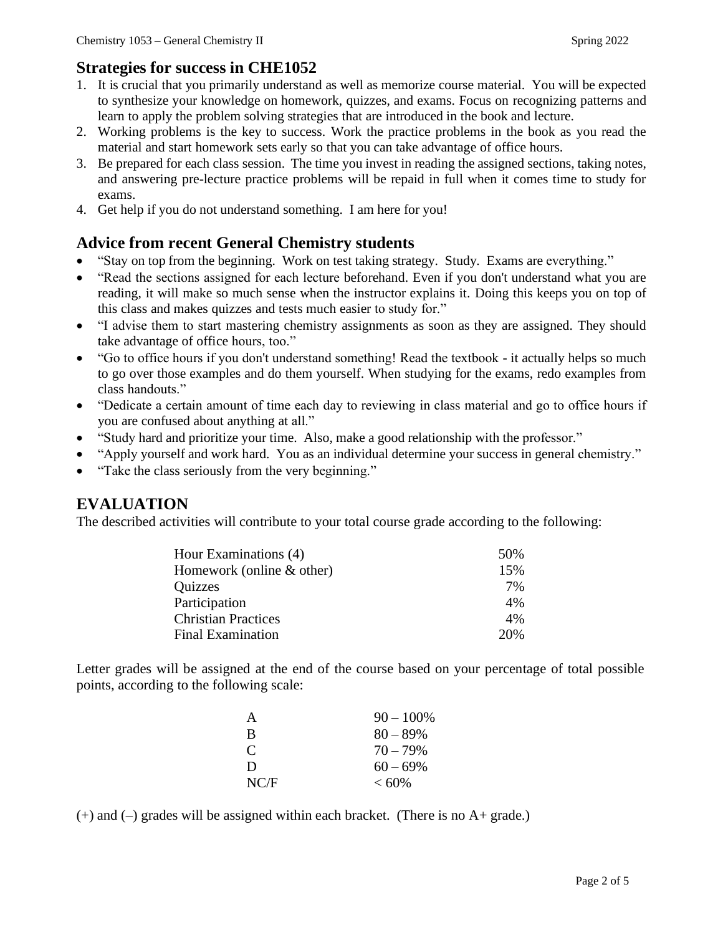## **Strategies for success in CHE1052**

- 1. It is crucial that you primarily understand as well as memorize course material. You will be expected to synthesize your knowledge on homework, quizzes, and exams. Focus on recognizing patterns and learn to apply the problem solving strategies that are introduced in the book and lecture.
- 2. Working problems is the key to success. Work the practice problems in the book as you read the material and start homework sets early so that you can take advantage of office hours.
- 3. Be prepared for each class session. The time you invest in reading the assigned sections, taking notes, and answering pre-lecture practice problems will be repaid in full when it comes time to study for exams.
- 4. Get help if you do not understand something. I am here for you!

# **Advice from recent General Chemistry students**

- "Stay on top from the beginning. Work on test taking strategy. Study. Exams are everything."
- "Read the sections assigned for each lecture beforehand. Even if you don't understand what you are reading, it will make so much sense when the instructor explains it. Doing this keeps you on top of this class and makes quizzes and tests much easier to study for."
- "I advise them to start mastering chemistry assignments as soon as they are assigned. They should take advantage of office hours, too."
- "Go to office hours if you don't understand something! Read the textbook it actually helps so much to go over those examples and do them yourself. When studying for the exams, redo examples from class handouts."
- "Dedicate a certain amount of time each day to reviewing in class material and go to office hours if you are confused about anything at all."
- "Study hard and prioritize your time. Also, make a good relationship with the professor."
- "Apply yourself and work hard. You as an individual determine your success in general chemistry."
- "Take the class seriously from the very beginning."

# **EVALUATION**

The described activities will contribute to your total course grade according to the following:

| Hour Examinations (4)      | 50% |
|----------------------------|-----|
| Homework (online & other)  | 15% |
| Quizzes                    | 7%  |
| Participation              | 4%  |
| <b>Christian Practices</b> | 4%  |
| <b>Final Examination</b>   | 20% |

Letter grades will be assigned at the end of the course based on your percentage of total possible points, according to the following scale:

| A    | $90 - 100\%$ |
|------|--------------|
| B    | $80 - 89\%$  |
| C    | $70 - 79\%$  |
| D    | $60 - 69\%$  |
| NC/F | $< 60\%$     |

 $(+)$  and  $(-)$  grades will be assigned within each bracket. (There is no A+ grade.)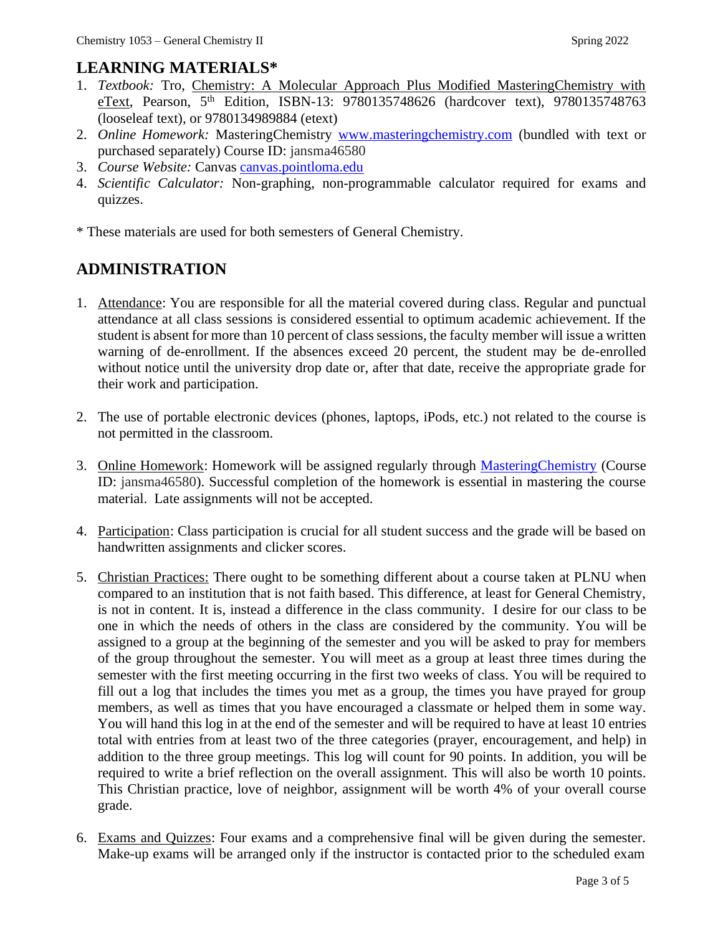# **LEARNING MATERIALS\***

- 1. *Textbook:* Tro, Chemistry: A Molecular Approach Plus Modified MasteringChemistry with eText, Pearson, 5<sup>th</sup> Edition, ISBN-13: 9780135748626 (hardcover text), 9780135748763 (looseleaf text), or 9780134989884 (etext)
- 2. *Online Homework:* MasteringChemistry [www.masteringchemistry.com](http://www.masteringchemistry.com/) (bundled with text or purchased separately) Course ID: jansma46580
- 3. *Course Website:* Canvas canvas.pointloma.edu
- 4. *Scientific Calculator:* Non-graphing, non-programmable calculator required for exams and quizzes.

\* These materials are used for both semesters of General Chemistry.

# **ADMINISTRATION**

- 1. Attendance: You are responsible for all the material covered during class. Regular and punctual attendance at all class sessions is considered essential to optimum academic achievement. If the student is absent for more than 10 percent of class sessions, the faculty member will issue a written warning of de-enrollment. If the absences exceed 20 percent, the student may be de-enrolled without notice until the university drop date or, after that date, receive the appropriate grade for their work and participation.
- 2. The use of portable electronic devices (phones, laptops, iPods, etc.) not related to the course is not permitted in the classroom.
- 3. Online Homework: Homework will be assigned regularly through MasteringChemistry (Course ID: jansma46580). Successful completion of the homework is essential in mastering the course material. Late assignments will not be accepted.
- 4. Participation: Class participation is crucial for all student success and the grade will be based on handwritten assignments and clicker scores.
- 5. Christian Practices: There ought to be something different about a course taken at PLNU when compared to an institution that is not faith based. This difference, at least for General Chemistry, is not in content. It is, instead a difference in the class community. I desire for our class to be one in which the needs of others in the class are considered by the community. You will be assigned to a group at the beginning of the semester and you will be asked to pray for members of the group throughout the semester. You will meet as a group at least three times during the semester with the first meeting occurring in the first two weeks of class. You will be required to fill out a log that includes the times you met as a group, the times you have prayed for group members, as well as times that you have encouraged a classmate or helped them in some way. You will hand this log in at the end of the semester and will be required to have at least 10 entries total with entries from at least two of the three categories (prayer, encouragement, and help) in addition to the three group meetings. This log will count for 90 points. In addition, you will be required to write a brief reflection on the overall assignment. This will also be worth 10 points. This Christian practice, love of neighbor, assignment will be worth 4% of your overall course grade.
- 6. Exams and Quizzes: Four exams and a comprehensive final will be given during the semester. Make-up exams will be arranged only if the instructor is contacted prior to the scheduled exam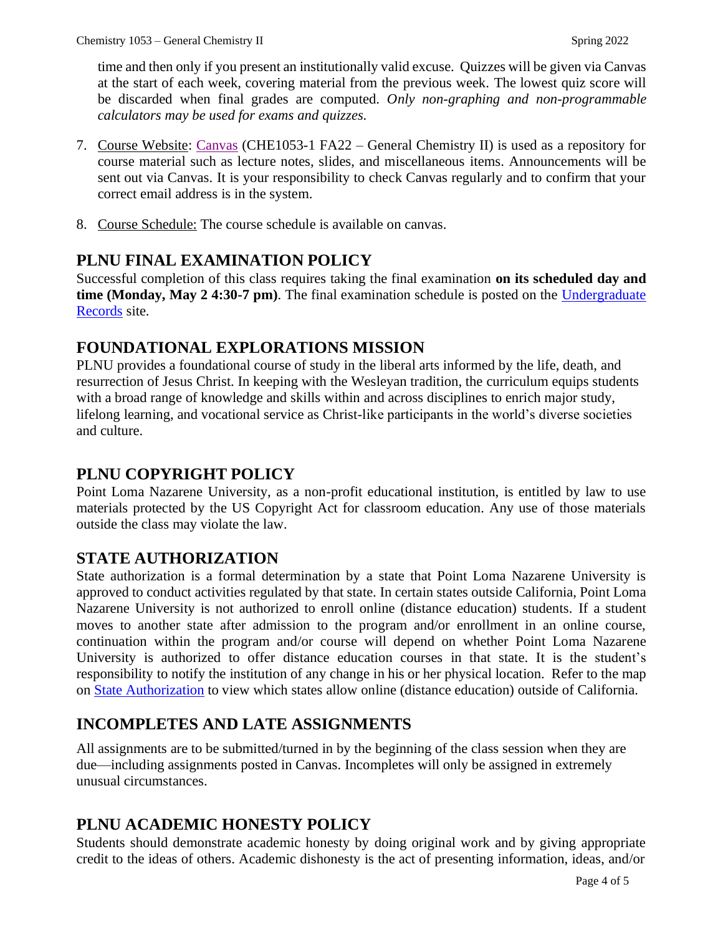time and then only if you present an institutionally valid excuse. Quizzes will be given via Canvas at the start of each week, covering material from the previous week. The lowest quiz score will be discarded when final grades are computed. *Only non-graphing and non-programmable calculators may be used for exams and quizzes.*

- 7. Course Website: Canvas (CHE1053-1 FA22 General Chemistry II) is used as a repository for course material such as lecture notes, slides, and miscellaneous items. Announcements will be sent out via Canvas. It is your responsibility to check Canvas regularly and to confirm that your correct email address is in the system.
- 8. Course Schedule: The course schedule is available on canvas.

# **PLNU FINAL EXAMINATION POLICY**

Successful completion of this class requires taking the final examination **on its scheduled day and time (Monday, May 2 4:30-7 pm)**. The final examination schedule is posted on the Undergraduate Records site.

# **FOUNDATIONAL EXPLORATIONS MISSION**

PLNU provides a foundational course of study in the liberal arts informed by the life, death, and resurrection of Jesus Christ. In keeping with the Wesleyan tradition, the curriculum equips students with a broad range of knowledge and skills within and across disciplines to enrich major study, lifelong learning, and vocational service as Christ-like participants in the world's diverse societies and culture.

# **PLNU COPYRIGHT POLICY**

Point Loma Nazarene University, as a non-profit educational institution, is entitled by law to use materials protected by the US Copyright Act for classroom education. Any use of those materials outside the class may violate the law.

# **STATE AUTHORIZATION**

State authorization is a formal determination by a state that Point Loma Nazarene University is approved to conduct activities regulated by that state. In certain states outside California, Point Loma Nazarene University is not authorized to enroll online (distance education) students. If a student moves to another state after admission to the program and/or enrollment in an online course, continuation within the program and/or course will depend on whether Point Loma Nazarene University is authorized to offer distance education courses in that state. It is the student's responsibility to notify the institution of any change in his or her physical location. Refer to the map on State Authorization to view which states allow online (distance education) outside of California.

# **INCOMPLETES AND LATE ASSIGNMENTS**

All assignments are to be submitted/turned in by the beginning of the class session when they are due—including assignments posted in Canvas. Incompletes will only be assigned in extremely unusual circumstances.

# **PLNU ACADEMIC HONESTY POLICY**

Students should demonstrate academic honesty by doing original work and by giving appropriate credit to the ideas of others. Academic dishonesty is the act of presenting information, ideas, and/or